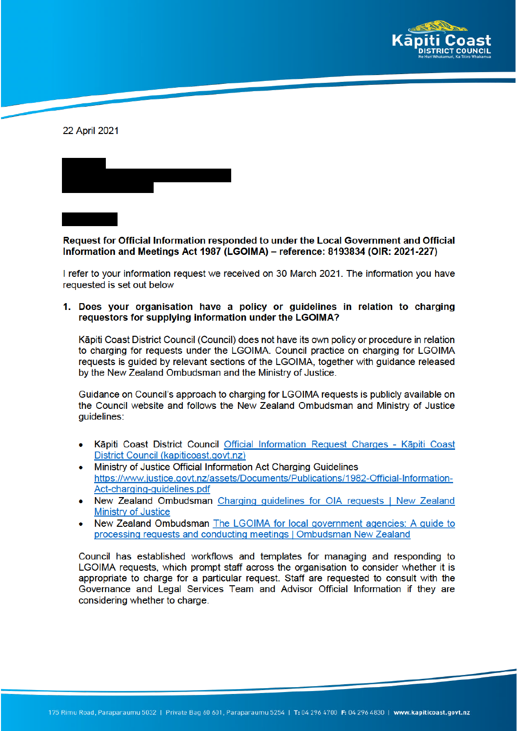

22 April 2021



Request for Official Information responded to under the Local Government and Official Information and Meetings Act 1987 (LGOIMA) – reference: 8193834 (OIR: 2021-227)

I refer to your information request we received on 30 March 2021. The information you have requested is set out below

1. Does your organisation have a policy or guidelines in relation to charging requestors for supplying information under the LGOIMA?

Kāpiti Coast District Council (Council) does not have its own policy or procedure in relation to charging for requests under the LGOIMA. Council practice on charging for LGOIMA requests is guided by relevant sections of the LGOIMA, together with guidance released by the New Zealand Ombudsman and the Ministry of Justice.

Guidance on Council's approach to charging for LGOIMA requests is publicly available on the Council website and follows the New Zealand Ombudsman and Ministry of Justice quidelines:

- Kāpiti Coast District Council Official Information Request Charges Kāpiti Coast District Council (kapiticoast.govt.nz)
- Ministry of Justice Official Information Act Charging Guidelines  $\bullet$ https://www.justice.govt.nz/assets/Documents/Publications/1982-Official-Information-Act-charging-guidelines.pdf
- New Zealand Ombudsman Charging quidelines for OIA requests | New Zealand **Ministry of Justice**
- New Zealand Ombudsman The LGOIMA for local government agencies: A guide to  $\bullet$ processing requests and conducting meetings | Ombudsman New Zealand

Council has established workflows and templates for managing and responding to LGOIMA requests, which prompt staff across the organisation to consider whether it is appropriate to charge for a particular request. Staff are requested to consult with the Governance and Legal Services Team and Advisor Official Information if they are considering whether to charge.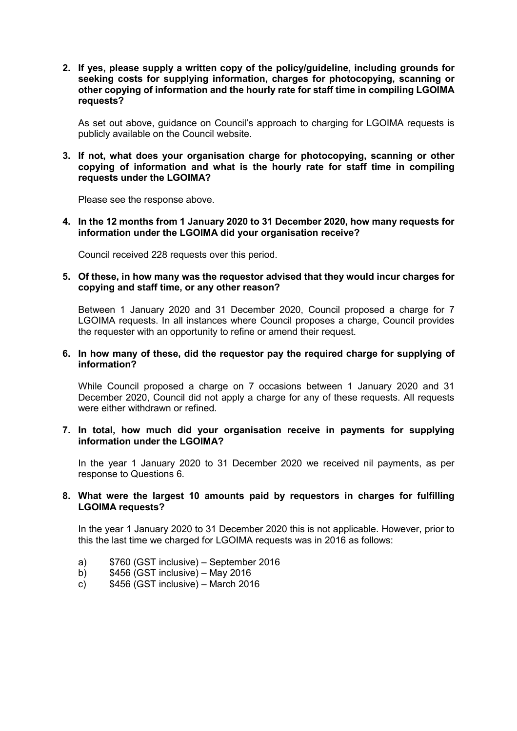**2. If yes, please supply a written copy of the policy/guideline, including grounds for seeking costs for supplying information, charges for photocopying, scanning or other copying of information and the hourly rate for staff time in compiling LGOIMA requests?**

As set out above, guidance on Council's approach to charging for LGOIMA requests is publicly available on the Council website.

**3. If not, what does your organisation charge for photocopying, scanning or other copying of information and what is the hourly rate for staff time in compiling requests under the LGOIMA?**

Please see the response above.

**4. In the 12 months from 1 January 2020 to 31 December 2020, how many requests for information under the LGOIMA did your organisation receive?**

Council received 228 requests over this period.

## **5. Of these, in how many was the requestor advised that they would incur charges for copying and staff time, or any other reason?**

Between 1 January 2020 and 31 December 2020, Council proposed a charge for 7 LGOIMA requests. In all instances where Council proposes a charge, Council provides the requester with an opportunity to refine or amend their request.

## **6. In how many of these, did the requestor pay the required charge for supplying of information?**

While Council proposed a charge on 7 occasions between 1 January 2020 and 31 December 2020, Council did not apply a charge for any of these requests. All requests were either withdrawn or refined.

## **7. In total, how much did your organisation receive in payments for supplying information under the LGOIMA?**

In the year 1 January 2020 to 31 December 2020 we received nil payments, as per response to Questions 6.

## **8. What were the largest 10 amounts paid by requestors in charges for fulfilling LGOIMA requests?**

In the year 1 January 2020 to 31 December 2020 this is not applicable. However, prior to this the last time we charged for LGOIMA requests was in 2016 as follows:

- a) \$760 (GST inclusive) September 2016
- b) \$456 (GST inclusive) May 2016<br>c) \$456 (GST inclusive) March 201
- $$456$  (GST inclusive) March 2016